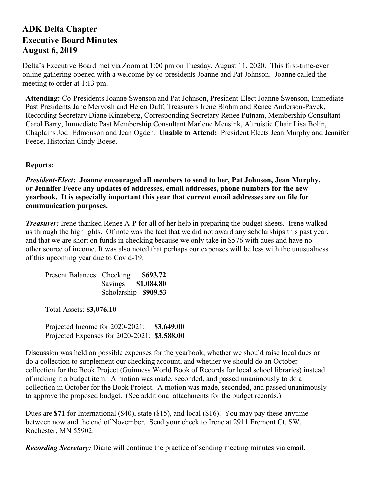## **ADK Delta Chapter Executive Board Minutes August 6, 2019**

Delta's Executive Board met via Zoom at 1:00 pm on Tuesday, August 11, 2020. This first-time-ever online gathering opened with a welcome by co-presidents Joanne and Pat Johnson. Joanne called the meeting to order at 1:13 pm.

**Attending:** Co-Presidents Joanne Swenson and Pat Johnson, President-Elect Joanne Swenson, Immediate Past Presidents Jane Mervosh and Helen Duff, Treasurers Irene Blohm and Renee Anderson-Pavek, Recording Secretary Diane Kinneberg, Corresponding Secretary Renee Putnam, Membership Consultant Carol Barry, Immediate Past Membership Consultant Marlene Mensink, Altruistic Chair Lisa Bolin, Chaplains Jodi Edmonson and Jean Ogden. **Unable to Attend:** President Elects Jean Murphy and Jennifer Feece, Historian Cindy Boese.

## **Reports:**

*President-Elect***: Joanne encouraged all members to send to her, Pat Johnson, Jean Murphy, or Jennifer Feece any updates of addresses, email addresses, phone numbers for the new yearbook. It is especially important this year that current email addresses are on file for communication purposes.**

*Treasurer:* Irene thanked Renee A-P for all of her help in preparing the budget sheets. Irene walked us through the highlights. Of note was the fact that we did not award any scholarships this past year, and that we are short on funds in checking because we only take in \$576 with dues and have no other source of income. It was also noted that perhaps our expenses will be less with the unusualness of this upcoming year due to Covid-19.

| Present Balances: Checking \$693.72 |                      |  |
|-------------------------------------|----------------------|--|
|                                     | Savings \$1,084.80   |  |
|                                     | Scholarship \$909.53 |  |

Total Assets: **\$3,076.10**

Projected Income for 2020-2021: **\$3,649.00** Projected Expenses for 2020-2021: **\$3,588.00**

Discussion was held on possible expenses for the yearbook, whether we should raise local dues or do a collection to supplement our checking account, and whether we should do an October collection for the Book Project (Guinness World Book of Records for local school libraries) instead of making it a budget item. A motion was made, seconded, and passed unanimously to do a collection in October for the Book Project. A motion was made, seconded, and passed unanimously to approve the proposed budget. (See additional attachments for the budget records.)

Dues are **\$71** for International (\$40), state (\$15), and local (\$16). You may pay these anytime between now and the end of November. Send your check to Irene at 2911 Fremont Ct. SW, Rochester, MN 55902.

*Recording Secretary:* Diane will continue the practice of sending meeting minutes via email.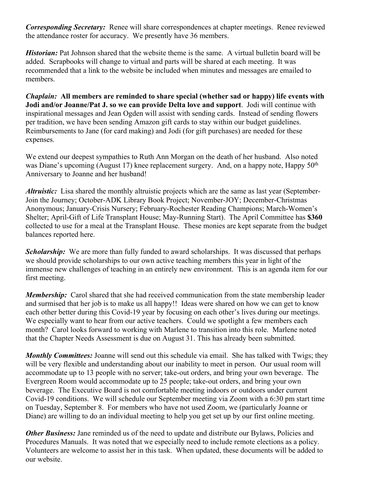*Corresponding Secretary:* Renee will share correspondences at chapter meetings. Renee reviewed the attendance roster for accuracy. We presently have 36 members.

*Historian:* Pat Johnson shared that the website theme is the same. A virtual bulletin board will be added. Scrapbooks will change to virtual and parts will be shared at each meeting. It was recommended that a link to the website be included when minutes and messages are emailed to members.

*Chaplain:* **All members are reminded to share special (whether sad or happy) life events with Jodi and/or Joanne/Pat J. so we can provide Delta love and support**. Jodi will continue with inspirational messages and Jean Ogden will assist with sending cards. Instead of sending flowers per tradition, we have been sending Amazon gift cards to stay within our budget guidelines. Reimbursements to Jane (for card making) and Jodi (for gift purchases) are needed for these expenses.

We extend our deepest sympathies to Ruth Ann Morgan on the death of her husband. Also noted was Diane's upcoming (August 17) knee replacement surgery. And, on a happy note, Happy 50<sup>th</sup> Anniversary to Joanne and her husband!

*Altruistic:* Lisa shared the monthly altruistic projects which are the same as last year (September-Join the Journey; October-ADK Library Book Project; November-JOY; December-Christmas Anonymous; January-Crisis Nursery; February-Rochester Reading Champions; March-Women's Shelter; April-Gift of Life Transplant House; May-Running Start). The April Committee has **\$360** collected to use for a meal at the Transplant House. These monies are kept separate from the budget balances reported here.

*Scholarship:* We are more than fully funded to award scholarships. It was discussed that perhaps we should provide scholarships to our own active teaching members this year in light of the immense new challenges of teaching in an entirely new environment. This is an agenda item for our first meeting.

*Membership*: Carol shared that she had received communication from the state membership leader and surmised that her job is to make us all happy!! Ideas were shared on how we can get to know each other better during this Covid-19 year by focusing on each other's lives during our meetings. We especially want to hear from our active teachers. Could we spotlight a few members each month? Carol looks forward to working with Marlene to transition into this role. Marlene noted that the Chapter Needs Assessment is due on August 31. This has already been submitted.

*Monthly Committees:* Joanne will send out this schedule via email. She has talked with Twigs; they will be very flexible and understanding about our inability to meet in person. Our usual room will accommodate up to 13 people with no server; take-out orders, and bring your own beverage. The Evergreen Room would accommodate up to 25 people; take-out orders, and bring your own beverage. The Executive Board is not comfortable meeting indoors or outdoors under current Covid-19 conditions. We will schedule our September meeting via Zoom with a 6:30 pm start time on Tuesday, September 8. For members who have not used Zoom, we (particularly Joanne or Diane) are willing to do an individual meeting to help you get set up by our first online meeting.

*Other Business:* Jane reminded us of the need to update and distribute our Bylaws, Policies and Procedures Manuals. It was noted that we especially need to include remote elections as a policy. Volunteers are welcome to assist her in this task. When updated, these documents will be added to our website.